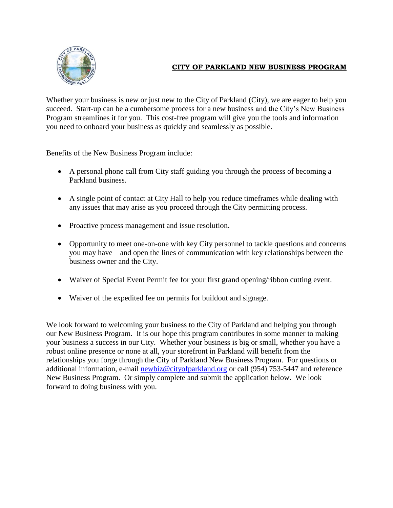

## **CITY OF PARKLAND NEW BUSINESS PROGRAM**

Whether your business is new or just new to the City of Parkland (City), we are eager to help you succeed. Start-up can be a cumbersome process for a new business and the City's New Business Program streamlines it for you. This cost-free program will give you the tools and information you need to onboard your business as quickly and seamlessly as possible.

Benefits of the New Business Program include:

- A personal phone call from City staff guiding you through the process of becoming a Parkland business.
- A single point of contact at City Hall to help you reduce timeframes while dealing with any issues that may arise as you proceed through the City permitting process.
- Proactive process management and issue resolution.
- Opportunity to meet one-on-one with key City personnel to tackle questions and concerns you may have—and open the lines of communication with key relationships between the business owner and the City.
- Waiver of Special Event Permit fee for your first grand opening/ribbon cutting event.
- Waiver of the expedited fee on permits for buildout and signage.

We look forward to welcoming your business to the City of Parkland and helping you through our New Business Program. It is our hope this program contributes in some manner to making your business a success in our City. Whether your business is big or small, whether you have a robust online presence or none at all, your storefront in Parkland will benefit from the relationships you forge through the City of Parkland New Business Program. For questions or additional information, e-mail [newbiz@cityofparkland.org](mailto:newbiz@cityofparkland.org) or call (954) 753-5447 and reference New Business Program. Or simply complete and submit the application below. We look forward to doing business with you.